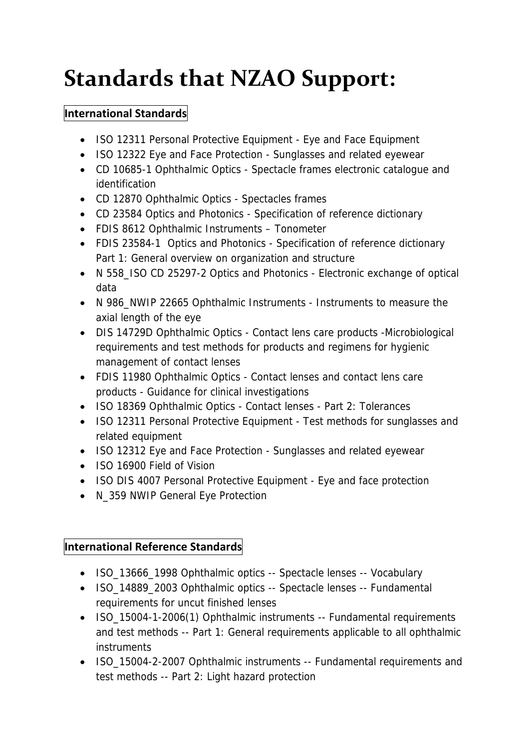## **Standards that NZAO Support:**

## **International Standards**

- ISO 12311 Personal Protective Equipment Eye and Face Equipment
- ISO 12322 Eye and Face Protection Sunglasses and related eyewear
- CD 10685-1 Ophthalmic Optics Spectacle frames electronic catalogue and identification
- CD 12870 Ophthalmic Optics Spectacles frames
- CD 23584 Optics and Photonics Specification of reference dictionary
- FDIS 8612 Ophthalmic Instruments Tonometer
- FDIS 23584-1 Optics and Photonics Specification of reference dictionary Part 1: General overview on organization and structure
- N 558\_ISO CD 25297-2 Optics and Photonics Electronic exchange of optical data
- N 986\_NWIP 22665 Ophthalmic Instruments Instruments to measure the axial length of the eye
- DIS 14729D Ophthalmic Optics Contact lens care products -Microbiological requirements and test methods for products and regimens for hygienic management of contact lenses
- FDIS 11980 Ophthalmic Optics Contact lenses and contact lens care products - Guidance for clinical investigations
- ISO 18369 Ophthalmic Optics Contact lenses Part 2: Tolerances
- ISO 12311 Personal Protective Equipment Test methods for sunglasses and related equipment
- ISO 12312 Eye and Face Protection Sunglasses and related eyewear
- ISO 16900 Field of Vision
- ISO DIS 4007 Personal Protective Equipment Eye and face protection
- N\_359 NWIP General Eye Protection

## **International Reference Standards**

- ISO\_13666\_1998 Ophthalmic optics -- Spectacle lenses -- Vocabulary
- ISO 14889 2003 Ophthalmic optics -- Spectacle lenses -- Fundamental requirements for uncut finished lenses
- ISO\_15004-1-2006(1) Ophthalmic instruments -- Fundamental requirements and test methods -- Part 1: General requirements applicable to all ophthalmic instruments
- ISO\_15004-2-2007 Ophthalmic instruments -- Fundamental requirements and test methods -- Part 2: Light hazard protection